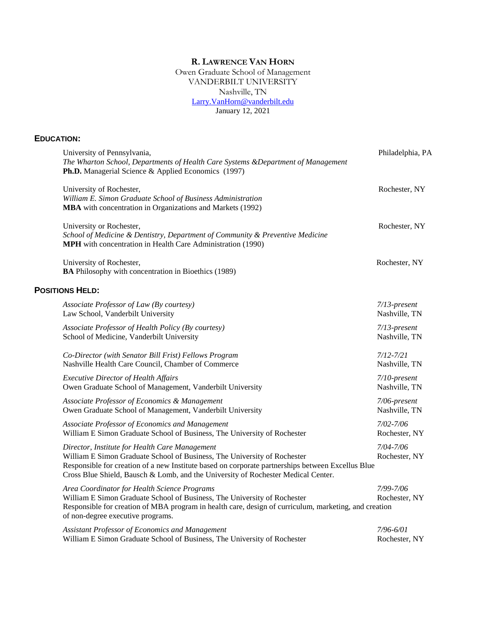# **R. LAWRENCE VAN HORN**

Owen Graduate School of Management VANDERBILT UNIVERSITY Nashville, TN [Larry.VanHorn@vanderbilt.edu](mailto:Larry.VanHorn@vanderbilt.edu) January 12, 2021

## **EDUCATION:**

| University of Pennsylvania,<br>The Wharton School, Departments of Health Care Systems & Department of Management<br><b>Ph.D.</b> Managerial Science & Applied Economics (1997)                                                                                                                                       | Philadelphia, PA           |
|----------------------------------------------------------------------------------------------------------------------------------------------------------------------------------------------------------------------------------------------------------------------------------------------------------------------|----------------------------|
| University of Rochester,<br>William E. Simon Graduate School of Business Administration<br>MBA with concentration in Organizations and Markets (1992)                                                                                                                                                                | Rochester, NY              |
| University or Rochester,<br>School of Medicine & Dentistry, Department of Community & Preventive Medicine<br><b>MPH</b> with concentration in Health Care Administration (1990)                                                                                                                                      | Rochester, NY              |
| University of Rochester,<br>BA Philosophy with concentration in Bioethics (1989)                                                                                                                                                                                                                                     | Rochester, NY              |
| <b>POSITIONS HELD:</b>                                                                                                                                                                                                                                                                                               |                            |
| Associate Professor of Law (By courtesy)                                                                                                                                                                                                                                                                             | $7/13$ -present            |
| Law School, Vanderbilt University                                                                                                                                                                                                                                                                                    | Nashville, TN              |
| Associate Professor of Health Policy (By courtesy)                                                                                                                                                                                                                                                                   | $7/13$ -present            |
| School of Medicine, Vanderbilt University                                                                                                                                                                                                                                                                            | Nashville, TN              |
| Co-Director (with Senator Bill Frist) Fellows Program                                                                                                                                                                                                                                                                | $7/12 - 7/21$              |
| Nashville Health Care Council, Chamber of Commerce                                                                                                                                                                                                                                                                   | Nashville, TN              |
| <b>Executive Director of Health Affairs</b>                                                                                                                                                                                                                                                                          | $7/10$ -present            |
| Owen Graduate School of Management, Vanderbilt University                                                                                                                                                                                                                                                            | Nashville, TN              |
| Associate Professor of Economics & Management                                                                                                                                                                                                                                                                        | 7/06-present               |
| Owen Graduate School of Management, Vanderbilt University                                                                                                                                                                                                                                                            | Nashville, TN              |
| Associate Professor of Economics and Management                                                                                                                                                                                                                                                                      | 7/02-7/06                  |
| William E Simon Graduate School of Business, The University of Rochester                                                                                                                                                                                                                                             | Rochester, NY              |
| Director, Institute for Health Care Management<br>William E Simon Graduate School of Business, The University of Rochester<br>Responsible for creation of a new Institute based on corporate partnerships between Excellus Blue<br>Cross Blue Shield, Bausch & Lomb, and the University of Rochester Medical Center. | 7/04-7/06<br>Rochester, NY |
| Area Coordinator for Health Science Programs<br>William E Simon Graduate School of Business, The University of Rochester<br>Responsible for creation of MBA program in health care, design of curriculum, marketing, and creation<br>of non-degree executive programs.                                               | 7/99-7/06<br>Rochester, NY |
| <b>Assistant Professor of Economics and Management</b>                                                                                                                                                                                                                                                               | 7/96-6/01                  |
| William E Simon Graduate School of Business, The University of Rochester                                                                                                                                                                                                                                             | Rochester, NY              |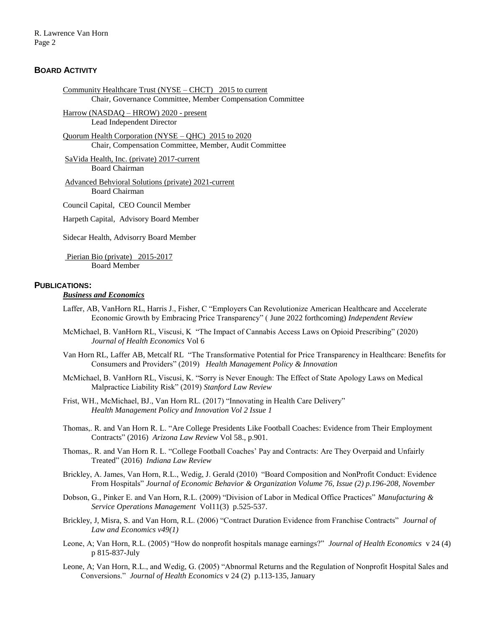## **BOARD ACTIVITY**

```
Community Healthcare Trust (NYSE – CHCT) 2015 to current
Chair, Governance Committee, Member Compensation Committee
```
Harrow (NASDAQ – HROW) 2020 - present Lead Independent Director

Quorum Health Corporation (NYSE – QHC) 2015 to 2020 Chair, Compensation Committee, Member, Audit Committee

SaVida Health, Inc. (private) 2017-current Board Chairman

Advanced Behvioral Solutions (private) 2021-current Board Chairman

Council Capital, CEO Council Member

Harpeth Capital, Advisory Board Member

Sidecar Health, Advisorry Board Member

Pierian Bio (private) 2015-2017 Board Member

#### **PUBLICATIONS:**

#### *Business and Economics*

- Laffer, AB, VanHorn RL, Harris J., Fisher, C "Employers Can Revolutionize American Healthcare and Accelerate Economic Growth by Embracing Price Transparency" ( June 2022 forthcoming) *Independent Review*
- McMichael, B. VanHorn RL, Viscusi, K "The Impact of Cannabis Access Laws on Opioid Prescribing" (2020) *Journal of Health Economics* Vol 6
- Van Horn RL, Laffer AB, Metcalf RL "The Transformative Potential for Price Transparency in Healthcare: Benefits for Consumers and Providers" (2019) *Health Management Policy & Innovation*
- McMichael, B. VanHorn RL, Viscusi, K. "Sorry is Never Enough: The Effect of State Apology Laws on Medical Malpractice Liability Risk" (2019) *Stanford Law Review*
- Frist, WH., McMichael, BJ., Van Horn RL. (2017) "Innovating in Health Care Delivery" *Health Management Policy and Innovation Vol 2 Issue 1*
- Thomas,. R. and Van Horn R. L. "Are College Presidents Like Football Coaches: Evidence from Their Employment Contracts" (2016) *Arizona Law Review* Vol 58., p.901.
- Thomas,. R. and Van Horn R. L. "College Football Coaches' Pay and Contracts: Are They Overpaid and Unfairly Treated" (2016) *Indiana Law Review*
- Brickley, A. James, Van Horn, R.L., Wedig, J. Gerald (2010) "Board Composition and NonProfit Conduct: Evidence From Hospitals" *Journal of Economic Behavior & Organization Volume 76, Issue (2) p.196-208, November*
- Dobson, G., Pinker E. and Van Horn, R.L. (2009) "Division of Labor in Medical Office Practices" *Manufacturing & Service Operations Management* Vol11(3) p.525-537.
- Brickley, J, Misra, S. and Van Horn, R.L. (2006) "Contract Duration Evidence from Franchise Contracts" *Journal of Law and Economics v49(1)*
- Leone, A; Van Horn, R.L. (2005) "How do nonprofit hospitals manage earnings?" *Journal of Health Economics* v 24 (4) p 815-837-July
- Leone, A; Van Horn, R.L., and Wedig, G. (2005) "Abnormal Returns and the Regulation of Nonprofit Hospital Sales and Conversions." *Journal of Health Economics* v 24 (2)p.113-135, January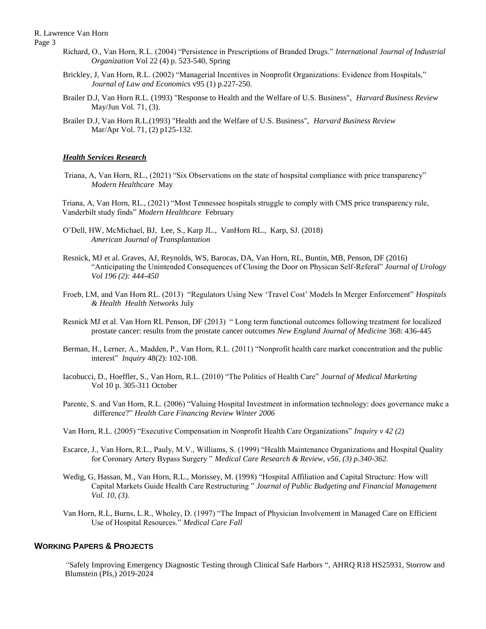- Page 3
- Richard, O., Van Horn, R.L. (2004) "Persistence in Prescriptions of Branded Drugs." *International Journal of Industrial Organization* Vol 22 (4) p. 523-540, Spring
- Brickley, J, Van Horn, R.L. (2002) "Managerial Incentives in Nonprofit Organizations: Evidence from Hospitals," *Journal of Law and Economics* v95 (1) p.227-250.
- Brailer D.J, Van Horn R.L. (1993) "Response to Health and the Welfare of U.S. Business", *Harvard Business Review* May/Jun Vol. 71, (3).
- Brailer D.J, Van Horn R.L.(1993) "Health and the Welfare of U.S. Business", *Harvard Business Review* Mar/Apr Vol. 71, (2) p125-132.

#### *Health Services Research*

 Triana, A, Van Horn, RL., (2021) "Six Observations on the state of hospsital compliance with price transparency" *Modern Healthcare* May

Triana, A, Van Horn, RL., (2021) "Most Tennessee hospitals struggle to comply with CMS price transparency rule, Vanderbilt study finds" *Modern Healthcare* February

- O'Dell, HW, McMichael, BJ, Lee, S., Karp JL., VanHorn RL., Karp, SJ. (2018) *American Journal of Transplantation*
- Resnick, MJ et al. Graves, AJ, Reynolds, WS, Barocas, DA, Van Horn, RL, Buntin, MB, Penson, DF (2016) "Anticipating the Unintended Consequences of Closing the Door on Physican Self-Referal" *Journal of Urology Vol 196 (2): 444-450*
- Froeb, LM, and Van Horn RL. (2013) "Regulators Using New 'Travel Cost' Models In Merger Enforcement" *Hospitals & Health Health Networks* July
- Resnick MJ et al. Van Horn RL Penson, DF (2013) " Long term functional outcomes following treatment for localized prostate cancer: results from the prostate cancer outcomes *New England Journal of Medicine* 368: 436-445
- Berman, H., Lerner, A., Madden, P., Van Horn, R.L. (2011) "Nonprofit health care market concentration and the public interest" *Inquiry* 48(2): 102-108.
- Iacobucci, D., Hoeffler, S., Van Horn, R.L. (2010) "The Politics of Health Care" *Journal of Medical Marketing*  Vol 10 p. 305-311 October
- Parente, S. and Van Horn, R.L. (2006) "Valuing Hospital Investment in information technology: does governance make a difference?" *Health Care Financing Review Winter 2006*
- Van Horn, R.L. (2005) "Executive Compensation in Nonprofit Health Care Organizations" *Inquiry v 42 (2)*
- Escarce, J., Van Horn, R.L., Pauly, M.V., Williams, S. (1999) "Health Maintenance Organizations and Hospital Quality for Coronary Artery Bypass Surgery " *Medical Care Research & Review, v56, (3) p.340-362.*
- Wedig, G, Hassan, M., Van Horn, R.L., Morissey, M. (1998) "Hospital Affiliation and Capital Structure: How will Capital Markets Guide Health Care Restructuring " *Journal of Public Budgeting and Financial Management Vol. 10, (3).*
- Van Horn, R.L, Burns, L.R., Wholey, D. (1997) "The Impact of Physician Involvement in Managed Care on Efficient Use of Hospital Resources." *Medical Care Fall*

## **WORKING PAPERS & PROJECTS**

*"*Safely Improving Emergency Diagnostic Testing through Clinical Safe Harbors ", AHRQ R18 HS25931, Storrow and Blumstein (PIs,) 2019-2024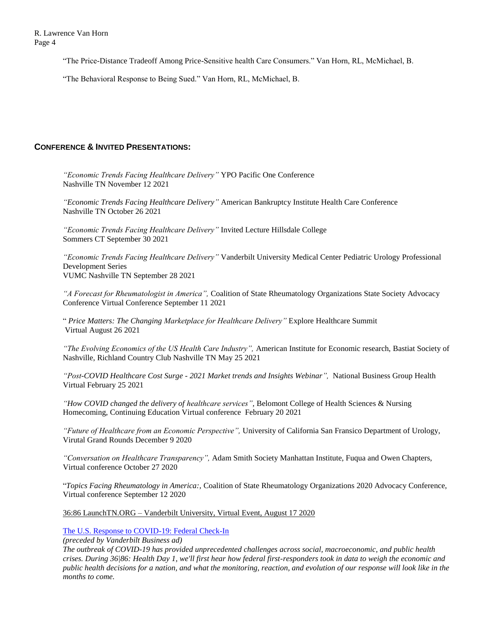"The Price-Distance Tradeoff Among Price-Sensitive health Care Consumers." Van Horn, RL, McMichael, B.

"The Behavioral Response to Being Sued." Van Horn, RL, McMichael, B.

# **CONFERENCE & INVITED PRESENTATIONS:**

*"Economic Trends Facing Healthcare Delivery"* YPO Pacific One Conference Nashville TN November 12 2021

*"Economic Trends Facing Healthcare Delivery"* American Bankruptcy Institute Health Care Conference Nashville TN October 26 2021

*"Economic Trends Facing Healthcare Delivery"* Invited Lecture Hillsdale College Sommers CT September 30 2021

*"Economic Trends Facing Healthcare Delivery"* Vanderbilt University Medical Center Pediatric Urology Professional Development Series VUMC Nashville TN September 28 2021

*"A Forecast for Rheumatologist in America",* Coalition of State Rheumatology Organizations State Society Advocacy Conference Virtual Conference September 11 2021

" *Price Matters: The Changing Marketplace for Healthcare Delivery"* Explore Healthcare Summit Virtual August 26 2021

*"The Evolving Economics of the US Health Care Industry",* American Institute for Economic research, Bastiat Society of Nashville, Richland Country Club Nashville TN May 25 2021

*"Post-COVID Healthcare Cost Surge - 2021 Market trends and Insights Webinar",* National Business Group Health Virtual February 25 2021

*"How COVID changed the delivery of healthcare services",* Belomont College of Health Sciences & Nursing Homecoming, Continuing Education Virtual conference February 20 2021

*"Future of Healthcare from an Economic Perspective",* University of California San Fransico Department of Urology, Virutal Grand Rounds December 9 2020

*"Conversation on Healthcare Transparency",* Adam Smith Society Manhattan Institute, Fuqua and Owen Chapters, Virtual conference October 27 2020

"*Topics Facing Rheumatology in America:,* Coalition of State Rheumatology Organizations 2020 Advocacy Conference, Virtual conference September 12 2020

36:86 LaunchTN.ORG – Vanderbilt University, Virtual Event, August 17 2020

# [The U.S. Response to COVID-19: Federal Check-In](https://nam04.safelinks.protection.outlook.com/?url=https%3A%2F%2Fyoutu.be%2FhLjlNK-FZts&data=02%7C01%7Cscarlett.gilfus%40vanderbilt.edu%7C275a23311d194f88e64c08d858f8a3d8%7Cba5a7f39e3be4ab3b45067fa80faecad%7C0%7C0%7C637357172223519811&sdata=58AnrYLRin0g%2Bnig2ihJCTVdsDbN4poVcaHbM4zRdXM%3D&reserved=0)

*(preceded by Vanderbilt Business ad)*

*The outbreak of COVID-19 has provided unprecedented challenges across social, macroeconomic, and public health crises. During 36|86: Health Day 1, we'll first hear how federal first-responders took in data to weigh the economic and public health decisions for a nation, and what the monitoring, reaction, and evolution of our response will look like in the months to come.*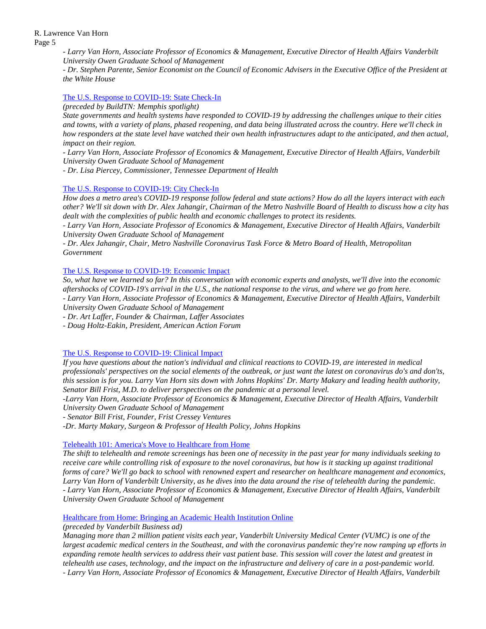> *- Larry Van Horn, Associate Professor of Economics & Management, Executive Director of Health Affairs Vanderbilt University Owen Graduate School of Management*

*- Dr. Stephen Parente, Senior Economist on the Council of Economic Advisers in the Executive Office of the President at the White House*

#### [The U.S. Response to COVID-19: State Check-In](https://nam04.safelinks.protection.outlook.com/?url=https%3A%2F%2Fyoutu.be%2FfssnlWazaBU&data=02%7C01%7Cscarlett.gilfus%40vanderbilt.edu%7C275a23311d194f88e64c08d858f8a3d8%7Cba5a7f39e3be4ab3b45067fa80faecad%7C0%7C0%7C637357172223529808&sdata=CvOO%2FVWab0pklfkL523%2F17qJtFh147NyD8xe%2BVL45yg%3D&reserved=0)

*(preceded by BuildTN: Memphis spotlight)*

*State governments and health systems have responded to COVID-19 by addressing the challenges unique to their cities and towns, with a variety of plans, phased reopening, and data being illustrated across the country. Here we'll check in how responders at the state level have watched their own health infrastructures adapt to the anticipated, and then actual, impact on their region.*

*- Larry Van Horn, Associate Professor of Economics & Management, Executive Director of Health Affairs, Vanderbilt University Owen Graduate School of Management*

*- Dr. Lisa Piercey, Commissioner, Tennessee Department of Health*

#### [The U.S. Response to COVID-19: City Check-In](https://nam04.safelinks.protection.outlook.com/?url=https%3A%2F%2Fyoutu.be%2Fqfu-2_Vtpxs&data=02%7C01%7Cscarlett.gilfus%40vanderbilt.edu%7C275a23311d194f88e64c08d858f8a3d8%7Cba5a7f39e3be4ab3b45067fa80faecad%7C0%7C0%7C637357172223539802&sdata=ffXSX9gPahPOWJ0QcYIEL7M%2BTvLN8%2BdDEHFur07gVj4%3D&reserved=0)

*How does a metro area's COVID-19 response follow federal and state actions? How do all the layers interact with each other? We'll sit down with Dr. Alex Jahangir, Chairman of the Metro Nashville Board of Health to discuss how a city has dealt with the complexities of public health and economic challenges to protect its residents.* 

*- Larry Van Horn, Associate Professor of Economics & Management, Executive Director of Health Affairs, Vanderbilt University Owen Graduate School of Management*

*- Dr. Alex Jahangir, Chair, Metro Nashville Coronavirus Task Force & Metro Board of Health, Metropolitan Government*

#### [The U.S. Response to COVID-19: Economic Impact](https://nam04.safelinks.protection.outlook.com/?url=https%3A%2F%2Fyoutu.be%2FqfSaDDaeJGE&data=02%7C01%7Cscarlett.gilfus%40vanderbilt.edu%7C275a23311d194f88e64c08d858f8a3d8%7Cba5a7f39e3be4ab3b45067fa80faecad%7C0%7C0%7C637357172223539802&sdata=R76Dysgu6XYwbZWDMek8UrQnvfUdCK3zy4O6VV6auv0%3D&reserved=0)

*So, what have we learned so far? In this conversation with economic experts and analysts, we'll dive into the economic aftershocks of COVID-19's arrival in the U.S., the national response to the virus, and where we go from here.* 

*- Larry Van Horn, Associate Professor of Economics & Management, Executive Director of Health Affairs, Vanderbilt University Owen Graduate School of Management* 

*- Dr. Art Laffer, Founder & Chairman, Laffer Associates*

*- Doug Holtz-Eakin, President, American Action Forum*

## [The U.S. Response to COVID-19: Clinical Impact](https://nam04.safelinks.protection.outlook.com/?url=https%3A%2F%2Fyoutu.be%2FmOm23dX_cEQ&data=02%7C01%7Cscarlett.gilfus%40vanderbilt.edu%7Cabdc00ba360747955d1508d85a4e2f4e%7Cba5a7f39e3be4ab3b45067fa80faecad%7C0%7C0%7C637358639155444749&sdata=Vm7NnG5rLHwfclCpguQcsZXw1%2ByktH68qkwwl9ipRt0%3D&reserved=0)

*If you have questions about the nation's individual and clinical reactions to COVID-19, are interested in medical professionals' perspectives on the social elements of the outbreak, or just want the latest on coronavirus do's and don'ts, this session is for you. Larry Van Horn sits down with Johns Hopkins' Dr. Marty Makary and leading health authority, Senator Bill Frist, M.D. to deliver perspectives on the pandemic at a personal level.* 

*-Larry Van Horn, Associate Professor of Economics & Management, Executive Director of Health Affairs, Vanderbilt University Owen Graduate School of Management*

*- Senator Bill Frist, Founder, Frist Cressey Ventures*

*-Dr. Marty Makary, Surgeon & Professor of Health Policy, Johns Hopkins*

## Telehealth [101: America's Move to Healthcare from Home](https://nam04.safelinks.protection.outlook.com/?url=https%3A%2F%2Fyoutu.be%2F0daNcuO95VA&data=02%7C01%7Cscarlett.gilfus%40vanderbilt.edu%7C275a23311d194f88e64c08d858f8a3d8%7Cba5a7f39e3be4ab3b45067fa80faecad%7C0%7C0%7C637357172223559788&sdata=wMhWbRYjX444EmaGhLehC%2FpExzKB5JzUB%2Be9kIMR0Vs%3D&reserved=0)

*The shift to telehealth and remote screenings has been one of necessity in the past year for many individuals seeking to receive care while controlling risk of exposure to the novel coronavirus, but how is it stacking up against traditional forms of care? We'll go back to school with renowned expert and researcher on healthcare management and economics, Larry Van Horn of Vanderbilt University, as he dives into the data around the rise of telehealth during the pandemic. - Larry Van Horn, Associate Professor of Economics & Management, Executive Director of Health Affairs, Vanderbilt University Owen Graduate School of Management*

#### [Healthcare from Home: Bringing an Academic Health Institution Online](https://nam04.safelinks.protection.outlook.com/?url=https%3A%2F%2Fyoutu.be%2Fv2NwB4MMFEM&data=02%7C01%7Cscarlett.gilfus%40vanderbilt.edu%7C275a23311d194f88e64c08d858f8a3d8%7Cba5a7f39e3be4ab3b45067fa80faecad%7C0%7C0%7C637357172223559788&sdata=vFqW9ad%2Br%2FDUUB76jffawrlw24Emj0iFGletyiK70w8%3D&reserved=0)

## *(preceded by Vanderbilt Business ad)*

*Managing more than 2 million patient visits each year, Vanderbilt University Medical Center (VUMC) is one of the largest academic medical centers in the Southeast, and with the coronavirus pandemic they're now ramping up efforts in expanding remote health services to address their vast patient base. This session will cover the latest and greatest in telehealth use cases, technology, and the impact on the infrastructure and delivery of care in a post-pandemic world. - Larry Van Horn, Associate Professor of Economics & Management, Executive Director of Health Affairs, Vanderbilt*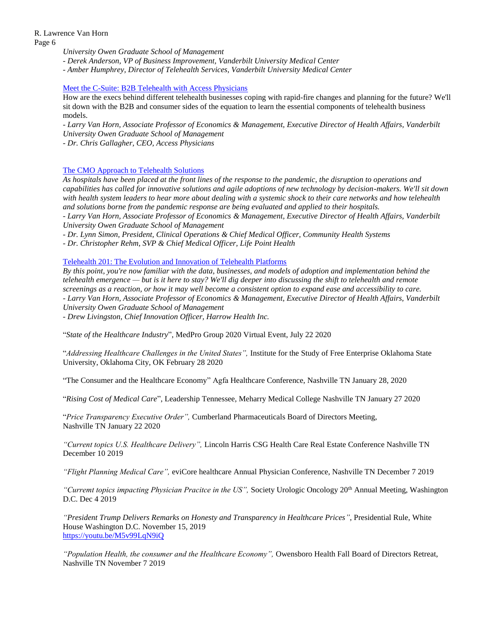*University Owen Graduate School of Management*

*- Derek Anderson, VP of Business Improvement, Vanderbilt University Medical Center*

*- Amber Humphrey, Director of Telehealth Services, Vanderbilt University Medical Center*

#### [Meet the C-Suite: B2B Telehealth with Access Physicians](https://nam04.safelinks.protection.outlook.com/?url=https%3A%2F%2Fyoutu.be%2Ftmafp5tLymg&data=02%7C01%7Cscarlett.gilfus%40vanderbilt.edu%7C275a23311d194f88e64c08d858f8a3d8%7Cba5a7f39e3be4ab3b45067fa80faecad%7C0%7C0%7C637357172223569780&sdata=xdPQk0HXfOjdyOqG6juhb9MHFGHwWRJwMI1AodQNFkw%3D&reserved=0)

How are the execs behind different telehealth businesses coping with rapid-fire changes and planning for the future? We'll sit down with the B2B and consumer sides of the equation to learn the essential components of telehealth business models.

*- Larry Van Horn, Associate Professor of Economics & Management, Executive Director of Health Affairs, Vanderbilt University Owen Graduate School of Management*

*- Dr. Chris Gallagher, CEO, Access Physicians*

## [The CMO Approach to Telehealth Solutions](https://nam04.safelinks.protection.outlook.com/?url=https%3A%2F%2Fyoutu.be%2FdSsHu32j94s&data=02%7C01%7Cscarlett.gilfus%40vanderbilt.edu%7C275a23311d194f88e64c08d858f8a3d8%7Cba5a7f39e3be4ab3b45067fa80faecad%7C0%7C0%7C637357172223579774&sdata=r%2F%2FNNJAEUgBXQ%2FRHHFzd3Qa9PGTEEsnm18teA%2FI3Zuw%3D&reserved=0)

*As hospitals have been placed at the front lines of the response to the pandemic, the disruption to operations and capabilities has called for innovative solutions and agile adoptions of new technology by decision-makers. We'll sit down with health system leaders to hear more about dealing with a systemic shock to their care networks and how telehealth and solutions borne from the pandemic response are being evaluated and applied to their hospitals.*

*- Larry Van Horn, Associate Professor of Economics & Management, Executive Director of Health Affairs, Vanderbilt University Owen Graduate School of Management*

*- Dr. Lynn Simon, President, Clinical Operations & Chief Medical Officer, Community Health Systems*

*- Dr. Christopher Rehm, SVP & Chief Medical Officer, Life Point Health*

[Telehealth 201: The Evolution and Innovation of Telehealth Platforms](https://nam04.safelinks.protection.outlook.com/?url=https%3A%2F%2Fyoutu.be%2FrhaBueJ9Gbo&data=02%7C01%7Cscarlett.gilfus%40vanderbilt.edu%7C275a23311d194f88e64c08d858f8a3d8%7Cba5a7f39e3be4ab3b45067fa80faecad%7C0%7C0%7C637357172223579774&sdata=%2B5u7%2ByGIsSa88ViSmwcSRaxO6fWf4CE9buvfWIZtAlU%3D&reserved=0)

*By this point, you're now familiar with the data, businesses, and models of adoption and implementation behind the telehealth emergence — but is it here to stay? We'll dig deeper into discussing the shift to telehealth and remote screenings as a reaction, or how it may well become a consistent option to expand ease and accessibility to care. - Larry Van Horn, Associate Professor of Economics & Management, Executive Director of Health Affairs, Vanderbilt University Owen Graduate School of Management*

*- Drew Livingston, Chief Innovation Officer, Harrow Health Inc.*

"*State of the Healthcare Industry*", MedPro Group 2020 Virtual Event, July 22 2020

"*Addressing Healthcare Challenges in the United States",* Institute for the Study of Free Enterprise Oklahoma State University, Oklahoma City, OK February 28 2020

"The Consumer and the Healthcare Economy" Agfa Healthcare Conference, Nashville TN January 28, 2020

"*Rising Cost of Medical Care*", Leadership Tennessee, Meharry Medical College Nashville TN January 27 2020

"*Price Transparency Executive Order",* Cumberland Pharmaceuticals Board of Directors Meeting, Nashville TN January 22 2020

*"Current topics U.S. Healthcare Delivery",* Lincoln Harris CSG Health Care Real Estate Conference Nashville TN December 10 2019

*"Flight Planning Medical Care",* eviCore healthcare Annual Physician Conference, Nashville TN December 7 2019

*"Curremt topics impacting Physician Pracitce in the US",* Society Urologic Oncology 20th Annual Meeting, Washington D.C. Dec 4 2019

*"President Trump Delivers Remarks on Honesty and Transparency in Healthcare Prices"*, Presidential Rule, White House Washington D.C. November 15, 2019 <https://youtu.be/M5v99LqN9iQ>

*"Population Health, the consumer and the Healthcare Economy",* Owensboro Health Fall Board of Directors Retreat, Nashville TN November 7 2019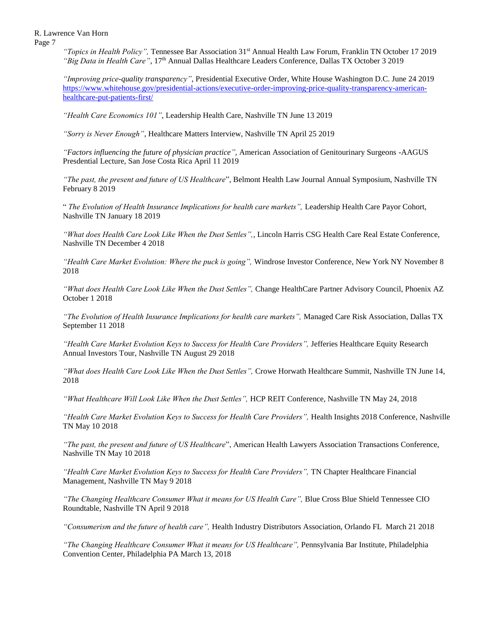Page 7

*"Topics in Health Policy",* Tennessee Bar Association 31st Annual Health Law Forum, Franklin TN October 17 2019 *"Big Data in Health Care"*, 17th Annual Dallas Healthcare Leaders Conference, Dallas TX October 3 2019

*"Improving price-quality transparency"*, Presidential Executive Order, White House Washington D.C. June 24 2019 [https://www.whitehouse.gov/presidential-actions/executive-order-improving-price-quality-transparency-american](https://www.whitehouse.gov/presidential-actions/executive-order-improving-price-quality-transparency-american-healthcare-put-patients-first/)[healthcare-put-patients-first/](https://www.whitehouse.gov/presidential-actions/executive-order-improving-price-quality-transparency-american-healthcare-put-patients-first/)

*"Health Care Economics 101"*, Leadership Health Care, Nashville TN June 13 2019

*"Sorry is Never Enough"*, Healthcare Matters Interview, Nashville TN April 25 2019

*"Factors influencing the future of physician practice",* American Association of Genitourinary Surgeons -AAGUS Presdential Lecture, San Jose Costa Rica April 11 2019

*"The past, the present and future of US Healthcare*", Belmont Health Law Journal Annual Symposium, Nashville TN February 8 2019

" *The Evolution of Health Insurance Implications for health care markets",* Leadership Health Care Payor Cohort, Nashville TN January 18 2019

*"What does Health Care Look Like When the Dust Settles",,* Lincoln Harris CSG Health Care Real Estate Conference, Nashville TN December 4 2018

*"Health Care Market Evolution: Where the puck is going",* Windrose Investor Conference, New York NY November 8 2018

*"What does Health Care Look Like When the Dust Settles",* Change HealthCare Partner Advisory Council, Phoenix AZ October 1 2018

*"The Evolution of Health Insurance Implications for health care markets",* Managed Care Risk Association, Dallas TX September 11 2018

*"Health Care Market Evolution Keys to Success for Health Care Providers",* Jefferies Healthcare Equity Research Annual Investors Tour, Nashville TN August 29 2018

*"What does Health Care Look Like When the Dust Settles",* Crowe Horwath Healthcare Summit, Nashville TN June 14, 2018

*"What Healthcare Will Look Like When the Dust Settles",* HCP REIT Conference, Nashville TN May 24, 2018

*"Health Care Market Evolution Keys to Success for Health Care Providers"*, Health Insights 2018 Conference, Nashville TN May 10 2018

*"The past, the present and future of US Healthcare*", American Health Lawyers Association Transactions Conference, Nashville TN May 10 2018

*"Health Care Market Evolution Keys to Success for Health Care Providers",* TN Chapter Healthcare Financial Management, Nashville TN May 9 2018

*"The Changing Healthcare Consumer What it means for US Health Care"*, Blue Cross Blue Shield Tennessee CIO Roundtable, Nashville TN April 9 2018

*"Consumerism and the future of health care",* Health Industry Distributors Association, Orlando FL March 21 2018

*"The Changing Healthcare Consumer What it means for US Healthcare"*, Pennsylvania Bar Institute, Philadelphia Convention Center, Philadelphia PA March 13, 2018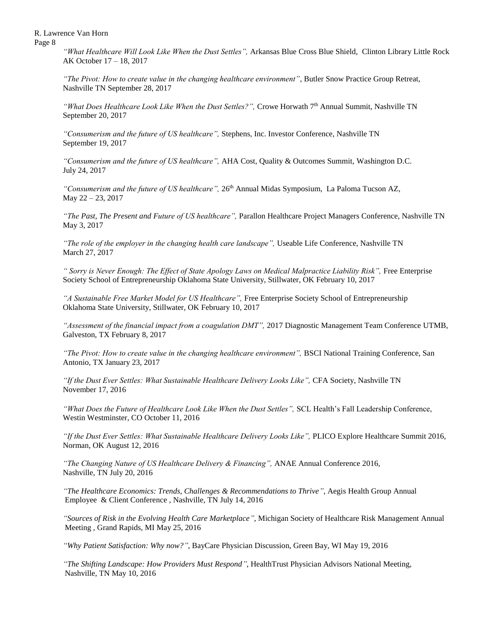Page 8

*"What Healthcare Will Look Like When the Dust Settles",* Arkansas Blue Cross Blue Shield, Clinton Library Little Rock AK October 17 – 18, 2017

*"The Pivot: How to create value in the changing healthcare environment"*, Butler Snow Practice Group Retreat, Nashville TN September 28, 2017

*"What Does Healthcare Look Like When the Dust Settles?",* Crowe Horwath 7th Annual Summit, Nashville TN September 20, 2017

*"Consumerism and the future of US healthcare",* Stephens, Inc. Investor Conference, Nashville TN September 19, 2017

*"Consumerism and the future of US healthcare",* AHA Cost, Quality & Outcomes Summit, Washington D.C. July 24, 2017

"Consumerism and the future of US healthcare", 26<sup>th</sup> Annual Midas Symposium, La Paloma Tucson AZ, May 22 – 23, 2017

*"The Past, The Present and Future of US healthcare",* Parallon Healthcare Project Managers Conference, Nashville TN May 3, 2017

*"The role of the employer in the changing health care landscape",* Useable Life Conference, Nashville TN March 27, 2017

*" Sorry is Never Enough: The Effect of State Apology Laws on Medical Malpractice Liability Risk",* Free Enterprise Society School of Entrepreneurship Oklahoma State University, Stillwater, OK February 10, 2017

*"A Sustainable Free Market Model for US Healthcare",* Free Enterprise Society School of Entrepreneurship Oklahoma State University, Stillwater, OK February 10, 2017

*"Assessment of the financial impact from a coagulation DMT",* 2017 Diagnostic Management Team Conference UTMB, Galveston, TX February 8, 2017

*"The Pivot: How to create value in the changing healthcare environment",* BSCI National Training Conference, San Antonio, TX January 23, 2017

*"If the Dust Ever Settles: What Sustainable Healthcare Delivery Looks Like",* CFA Society, Nashville TN November 17, 2016

*"What Does the Future of Healthcare Look Like When the Dust Settles",* SCL Health's Fall Leadership Conference, Westin Westminster, CO October 11, 2016

*"If the Dust Ever Settles: What Sustainable Healthcare Delivery Looks Like", PLICO Explore Healthcare Summit 2016,* Norman, OK August 12, 2016

*"The Changing Nature of US Healthcare Delivery & Financing",* ANAE Annual Conference 2016, Nashville, TN July 20, 2016

*"The Healthcare Economics: Trends, Challenges & Recommendations to Thrive"*, Aegis Health Group Annual Employee & Client Conference , Nashville, TN July 14, 2016

*"Sources of Risk in the Evolving Health Care Marketplace"*, Michigan Society of Healthcare Risk Management Annual Meeting , Grand Rapids, MI May 25, 2016

*"Why Patient Satisfaction: Why now?"*, BayCare Physician Discussion, Green Bay, WI May 19, 2016

*"The Shifting Landscape: How Providers Must Respond"*, HealthTrust Physician Advisors National Meeting, Nashville, TN May 10, 2016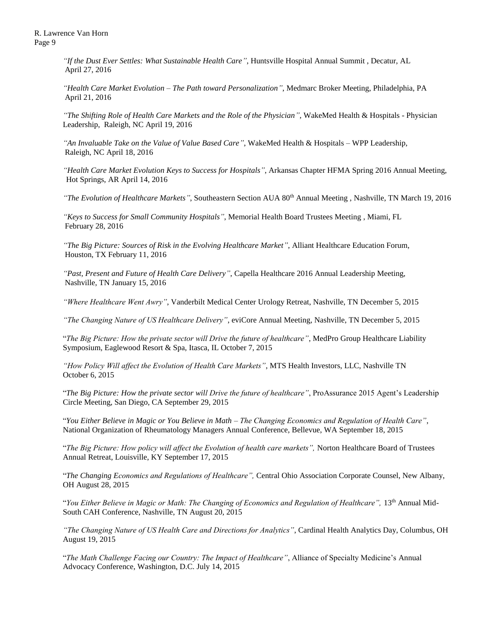*"If the Dust Ever Settles: What Sustainable Health Care"*, Huntsville Hospital Annual Summit , Decatur, AL April 27, 2016

*"Health Care Market Evolution – The Path toward Personalization"*, Medmarc Broker Meeting, Philadelphia, PA April 21, 2016

*"The Shifting Role of Health Care Markets and the Role of the Physician"*, WakeMed Health & Hospitals - Physician Leadership, Raleigh, NC April 19, 2016

*"An Invaluable Take on the Value of Value Based Care"*, WakeMed Health & Hospitals – WPP Leadership, Raleigh, NC April 18, 2016

*"Health Care Market Evolution Keys to Success for Hospitals"*, Arkansas Chapter HFMA Spring 2016 Annual Meeting, Hot Springs, AR April 14, 2016

*"The Evolution of Healthcare Markets"*, Southeastern Section AUA 80<sup>th</sup> Annual Meeting, Nashville, TN March 19, 2016

*"Keys to Success for Small Community Hospitals"*, Memorial Health Board Trustees Meeting , Miami, FL February 28, 2016

*"The Big Picture: Sources of Risk in the Evolving Healthcare Market"*, Alliant Healthcare Education Forum, Houston, TX February 11, 2016

*"Past, Present and Future of Health Care Delivery"*, Capella Healthcare 2016 Annual Leadership Meeting, Nashville, TN January 15, 2016

*"Where Healthcare Went Awry"*, Vanderbilt Medical Center Urology Retreat, Nashville, TN December 5, 2015

*"The Changing Nature of US Healthcare Delivery"*, eviCore Annual Meeting, Nashville, TN December 5, 2015

"*The Big Picture: How the private sector will Drive the future of healthcare"*, MedPro Group Healthcare Liability Symposium, Eaglewood Resort & Spa, Itasca, IL October 7, 2015

*"How Policy Will affect the Evolution of Health Care Markets"*, MTS Health Investors, LLC, Nashville TN October 6, 2015

"*The Big Picture: How the private sector will Drive the future of healthcare"*, ProAssurance 2015 Agent's Leadership Circle Meeting, San Diego, CA September 29, 2015

"*You Either Believe in Magic or You Believe in Math – The Changing Economics and Regulation of Health Care"*, National Organization of Rheumatology Managers Annual Conference, Bellevue, WA September 18, 2015

"*The Big Picture: How policy will affect the Evolution of health care markets",* Norton Healthcare Board of Trustees Annual Retreat, Louisville, KY September 17, 2015

"*The Changing Economics and Regulations of Healthcare",* Central Ohio Association Corporate Counsel, New Albany, OH August 28, 2015

"*You Either Believe in Magic or Math: The Changing of Economics and Regulation of Healthcare",* 13th Annual Mid-South CAH Conference, Nashville, TN August 20, 2015

*"The Changing Nature of US Health Care and Directions for Analytics"*, Cardinal Health Analytics Day, Columbus, OH August 19, 2015

"*The Math Challenge Facing our Country: The Impact of Healthcare"*, Alliance of Specialty Medicine's Annual Advocacy Conference, Washington, D.C. July 14, 2015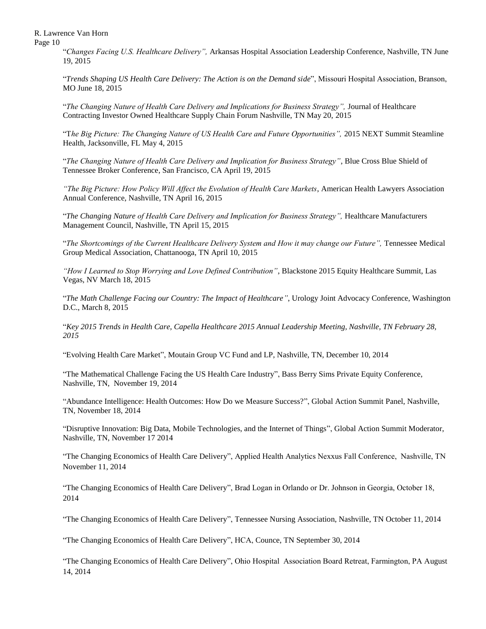Page 10

"*Changes Facing U.S. Healthcare Delivery",* Arkansas Hospital Association Leadership Conference, Nashville, TN June 19, 2015

"*Trends Shaping US Health Care Delivery: The Action is on the Demand side*", Missouri Hospital Association, Branson, MO June 18, 2015

"The Changing Nature of Health Care Delivery and Implications for Business Strategy", Journal of Healthcare Contracting Investor Owned Healthcare Supply Chain Forum Nashville, TN May 20, 2015

"T*he Big Picture: The Changing Nature of US Health Care and Future Opportunities",* 2015 NEXT Summit Steamline Health, Jacksonville, FL May 4, 2015

"*The Changing Nature of Health Care Delivery and Implication for Business Strategy"*, Blue Cross Blue Shield of Tennessee Broker Conference, San Francisco, CA April 19, 2015

*"The Big Picture: How Policy Will Affect the Evolution of Health Care Markets*, American Health Lawyers Association Annual Conference, Nashville, TN April 16, 2015

"The Changing Nature of Health Care Delivery and Implication for Business Strategy", Healthcare Manufacturers Management Council, Nashville, TN April 15, 2015

"The Shortcomings of the Current Healthcare Delivery System and How it may change our Future", Tennessee Medical Group Medical Association, Chattanooga, TN April 10, 2015

*"How I Learned to Stop Worrying and Love Defined Contribution"*, Blackstone 2015 Equity Healthcare Summit, Las Vegas, NV March 18, 2015

"*The Math Challenge Facing our Country: The Impact of Healthcare"*, Urology Joint Advocacy Conference, Washington D.C., March 8, 2015

"*Key 2015 Trends in Health Care, Capella Healthcare 2015 Annual Leadership Meeting, Nashville, TN February 28, 2015*

"Evolving Health Care Market", Moutain Group VC Fund and LP, Nashville, TN, December 10, 2014

"The Mathematical Challenge Facing the US Health Care Industry", Bass Berry Sims Private Equity Conference, Nashville, TN, November 19, 2014

"Abundance Intelligence: Health Outcomes: How Do we Measure Success?", Global Action Summit Panel, Nashville, TN, November 18, 2014

"Disruptive Innovation: Big Data, Mobile Technologies, and the Internet of Things", Global Action Summit Moderator, Nashville, TN, November 17 2014

"The Changing Economics of Health Care Delivery", Applied Health Analytics Nexxus Fall Conference, Nashville, TN November 11, 2014

"The Changing Economics of Health Care Delivery", Brad Logan in Orlando or Dr. Johnson in Georgia, October 18, 2014

"The Changing Economics of Health Care Delivery", Tennessee Nursing Association, Nashville, TN October 11, 2014

"The Changing Economics of Health Care Delivery", HCA, Counce, TN September 30, 2014

"The Changing Economics of Health Care Delivery", Ohio Hospital Association Board Retreat, Farmington, PA August 14, 2014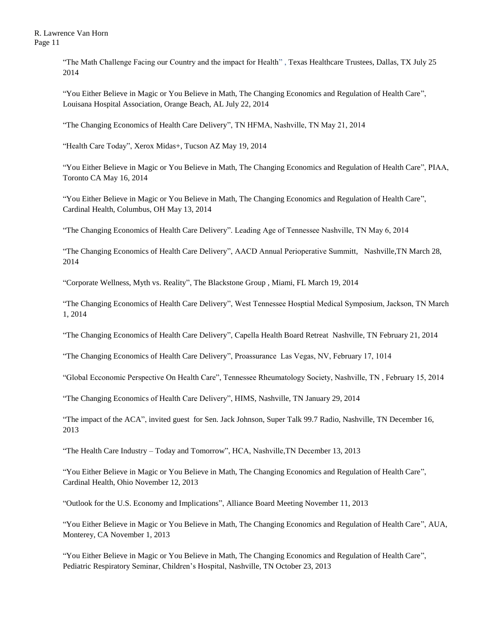"The Math Challenge Facing our Country and the impact for Health" , Texas Healthcare Trustees, Dallas, TX July 25 2014

"You Either Believe in Magic or You Believe in Math, The Changing Economics and Regulation of Health Care", Louisana Hospital Association, Orange Beach, AL July 22, 2014

"The Changing Economics of Health Care Delivery", TN HFMA, Nashville, TN May 21, 2014

"Health Care Today", Xerox Midas+, Tucson AZ May 19, 2014

"You Either Believe in Magic or You Believe in Math, The Changing Economics and Regulation of Health Care", PIAA, Toronto CA May 16, 2014

"You Either Believe in Magic or You Believe in Math, The Changing Economics and Regulation of Health Care", Cardinal Health, Columbus, OH May 13, 2014

"The Changing Economics of Health Care Delivery". Leading Age of Tennessee Nashville, TN May 6, 2014

"The Changing Economics of Health Care Delivery", AACD Annual Perioperative Summitt, Nashville,TN March 28, 2014

"Corporate Wellness, Myth vs. Reality", The Blackstone Group , Miami, FL March 19, 2014

"The Changing Economics of Health Care Delivery", West Tennessee Hosptial Medical Symposium, Jackson, TN March 1, 2014

"The Changing Economics of Health Care Delivery", Capella Health Board Retreat Nashville, TN February 21, 2014

"The Changing Economics of Health Care Delivery", Proassurance Las Vegas, NV, February 17, 1014

"Global Ecconomic Perspective On Health Care", Tennessee Rheumatology Society, Nashville, TN , February 15, 2014

"The Changing Economics of Health Care Delivery", HIMS, Nashville, TN January 29, 2014

"The impact of the ACA", invited guest for Sen. Jack Johnson, Super Talk 99.7 Radio, Nashville, TN December 16, 2013

"The Health Care Industry – Today and Tomorrow", HCA, Nashville,TN December 13, 2013

"You Either Believe in Magic or You Believe in Math, The Changing Economics and Regulation of Health Care", Cardinal Health, Ohio November 12, 2013

"Outlook for the U.S. Economy and Implications", Alliance Board Meeting November 11, 2013

"You Either Believe in Magic or You Believe in Math, The Changing Economics and Regulation of Health Care", AUA, Monterey, CA November 1, 2013

"You Either Believe in Magic or You Believe in Math, The Changing Economics and Regulation of Health Care", Pediatric Respiratory Seminar, Children's Hospital, Nashville, TN October 23, 2013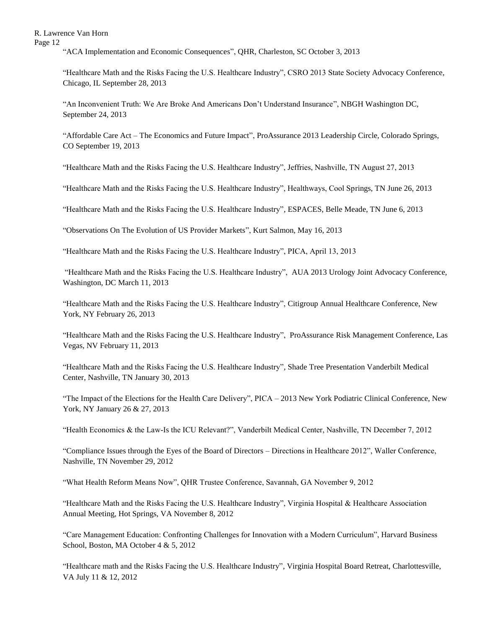"ACA Implementation and Economic Consequences", QHR, Charleston, SC October 3, 2013

"Healthcare Math and the Risks Facing the U.S. Healthcare Industry", CSRO 2013 State Society Advocacy Conference, Chicago, IL September 28, 2013

"An Inconvenient Truth: We Are Broke And Americans Don't Understand Insurance", NBGH Washington DC, September 24, 2013

"Affordable Care Act – The Economics and Future Impact", ProAssurance 2013 Leadership Circle, Colorado Springs, CO September 19, 2013

"Healthcare Math and the Risks Facing the U.S. Healthcare Industry", Jeffries, Nashville, TN August 27, 2013

"Healthcare Math and the Risks Facing the U.S. Healthcare Industry", Healthways, Cool Springs, TN June 26, 2013

"Healthcare Math and the Risks Facing the U.S. Healthcare Industry", ESPACES, Belle Meade, TN June 6, 2013

"Observations On The Evolution of US Provider Markets", Kurt Salmon, May 16, 2013

"Healthcare Math and the Risks Facing the U.S. Healthcare Industry", PICA, April 13, 2013

"Healthcare Math and the Risks Facing the U.S. Healthcare Industry", AUA 2013 Urology Joint Advocacy Conference, Washington, DC March 11, 2013

"Healthcare Math and the Risks Facing the U.S. Healthcare Industry", Citigroup Annual Healthcare Conference, New York, NY February 26, 2013

"Healthcare Math and the Risks Facing the U.S. Healthcare Industry", ProAssurance Risk Management Conference, Las Vegas, NV February 11, 2013

"Healthcare Math and the Risks Facing the U.S. Healthcare Industry", Shade Tree Presentation Vanderbilt Medical Center, Nashville, TN January 30, 2013

"The Impact of the Elections for the Health Care Delivery", PICA – 2013 New York Podiatric Clinical Conference, New York, NY January 26 & 27, 2013

"Health Economics & the Law-Is the ICU Relevant?", Vanderbilt Medical Center, Nashville, TN December 7, 2012

"Compliance Issues through the Eyes of the Board of Directors – Directions in Healthcare 2012", Waller Conference, Nashville, TN November 29, 2012

"What Health Reform Means Now", QHR Trustee Conference, Savannah, GA November 9, 2012

"Healthcare Math and the Risks Facing the U.S. Healthcare Industry", Virginia Hospital & Healthcare Association Annual Meeting, Hot Springs, VA November 8, 2012

"Care Management Education: Confronting Challenges for Innovation with a Modern Curriculum", Harvard Business School, Boston, MA October 4 & 5, 2012

"Healthcare math and the Risks Facing the U.S. Healthcare Industry", Virginia Hospital Board Retreat, Charlottesville, VA July 11 & 12, 2012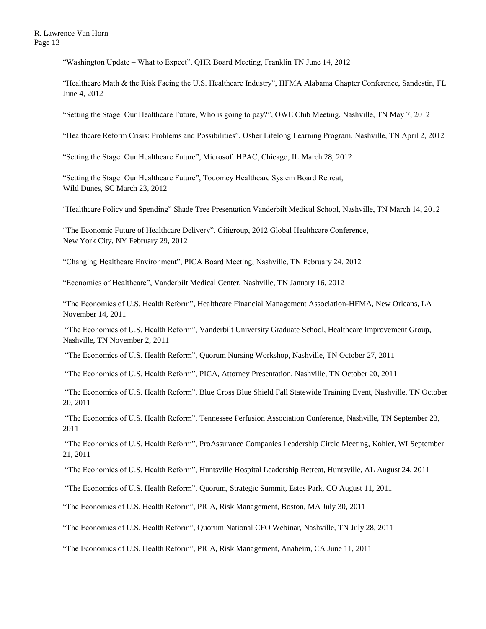"Washington Update – What to Expect", QHR Board Meeting, Franklin TN June 14, 2012

"Healthcare Math & the Risk Facing the U.S. Healthcare Industry", HFMA Alabama Chapter Conference, Sandestin, FL June 4, 2012

"Setting the Stage: Our Healthcare Future, Who is going to pay?", OWE Club Meeting, Nashville, TN May 7, 2012

"Healthcare Reform Crisis: Problems and Possibilities", Osher Lifelong Learning Program, Nashville, TN April 2, 2012

"Setting the Stage: Our Healthcare Future", Microsoft HPAC, Chicago, IL March 28, 2012

"Setting the Stage: Our Healthcare Future", Touomey Healthcare System Board Retreat, Wild Dunes, SC March 23, 2012

"Healthcare Policy and Spending" Shade Tree Presentation Vanderbilt Medical School, Nashville, TN March 14, 2012

"The Economic Future of Healthcare Delivery", Citigroup, 2012 Global Healthcare Conference, New York City, NY February 29, 2012

"Changing Healthcare Environment", PICA Board Meeting, Nashville, TN February 24, 2012

"Economics of Healthcare", Vanderbilt Medical Center, Nashville, TN January 16, 2012

"The Economics of U.S. Health Reform", Healthcare Financial Management Association-HFMA, New Orleans, LA November 14, 2011

"The Economics of U.S. Health Reform", Vanderbilt University Graduate School, Healthcare Improvement Group, Nashville, TN November 2, 2011

"The Economics of U.S. Health Reform", Quorum Nursing Workshop, Nashville, TN October 27, 2011

"The Economics of U.S. Health Reform", PICA, Attorney Presentation, Nashville, TN October 20, 2011

"The Economics of U.S. Health Reform", Blue Cross Blue Shield Fall Statewide Training Event, Nashville, TN October 20, 2011

"The Economics of U.S. Health Reform", Tennessee Perfusion Association Conference, Nashville, TN September 23, 2011

"The Economics of U.S. Health Reform", ProAssurance Companies Leadership Circle Meeting, Kohler, WI September 21, 2011

"The Economics of U.S. Health Reform", Huntsville Hospital Leadership Retreat, Huntsville, AL August 24, 2011

"The Economics of U.S. Health Reform", Quorum, Strategic Summit, Estes Park, CO August 11, 2011

"The Economics of U.S. Health Reform", PICA, Risk Management, Boston, MA July 30, 2011

"The Economics of U.S. Health Reform", Quorum National CFO Webinar, Nashville, TN July 28, 2011

"The Economics of U.S. Health Reform", PICA, Risk Management, Anaheim, CA June 11, 2011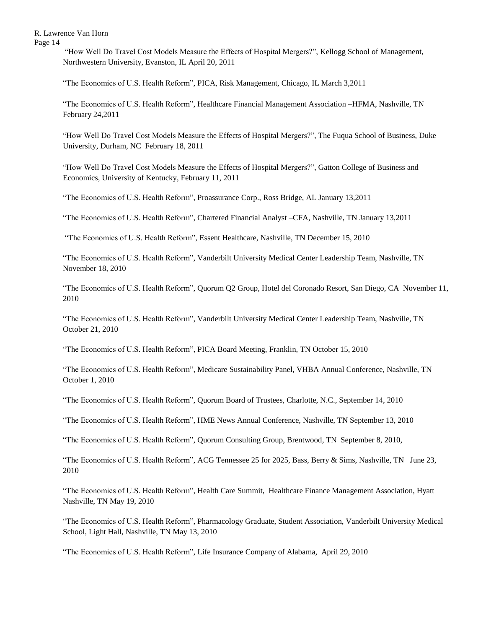"How Well Do Travel Cost Models Measure the Effects of Hospital Mergers?", Kellogg School of Management, Northwestern University, Evanston, IL April 20, 2011

"The Economics of U.S. Health Reform", PICA, Risk Management, Chicago, IL March 3,2011

"The Economics of U.S. Health Reform", Healthcare Financial Management Association –HFMA, Nashville, TN February 24,2011

"How Well Do Travel Cost Models Measure the Effects of Hospital Mergers?", The Fuqua School of Business, Duke University, Durham, NC February 18, 2011

"How Well Do Travel Cost Models Measure the Effects of Hospital Mergers?", Gatton College of Business and Economics, University of Kentucky, February 11, 2011

"The Economics of U.S. Health Reform", Proassurance Corp., Ross Bridge, AL January 13,2011

"The Economics of U.S. Health Reform", Chartered Financial Analyst –CFA, Nashville, TN January 13,2011

"The Economics of U.S. Health Reform", Essent Healthcare, Nashville, TN December 15, 2010

"The Economics of U.S. Health Reform", Vanderbilt University Medical Center Leadership Team, Nashville, TN November 18, 2010

"The Economics of U.S. Health Reform", Quorum Q2 Group, Hotel del Coronado Resort, San Diego, CA November 11, 2010

"The Economics of U.S. Health Reform", Vanderbilt University Medical Center Leadership Team, Nashville, TN October 21, 2010

"The Economics of U.S. Health Reform", PICA Board Meeting, Franklin, TN October 15, 2010

"The Economics of U.S. Health Reform", Medicare Sustainability Panel, VHBA Annual Conference, Nashville, TN October 1, 2010

"The Economics of U.S. Health Reform", Quorum Board of Trustees, Charlotte, N.C., September 14, 2010

"The Economics of U.S. Health Reform", HME News Annual Conference, Nashville, TN September 13, 2010

"The Economics of U.S. Health Reform", Quorum Consulting Group, Brentwood, TN September 8, 2010,

"The Economics of U.S. Health Reform", ACG Tennessee 25 for 2025, Bass, Berry & Sims, Nashville, TN June 23, 2010

"The Economics of U.S. Health Reform", Health Care Summit, Healthcare Finance Management Association, Hyatt Nashville, TN May 19, 2010

"The Economics of U.S. Health Reform", Pharmacology Graduate, Student Association, Vanderbilt University Medical School, Light Hall, Nashville, TN May 13, 2010

"The Economics of U.S. Health Reform", Life Insurance Company of Alabama, April 29, 2010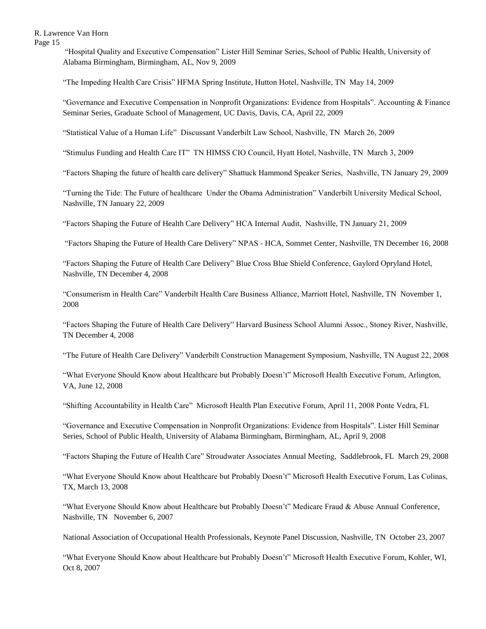"Hospital Quality and Executive Compensation" Lister Hill Seminar Series, School of Public Health, University of Alabama Birmingham, Birmingham, AL, Nov 9, 2009

"The Impeding Health Care Crisis" HFMA Spring Institute, Hutton Hotel, Nashville, TN May 14, 2009

"Governance and Executive Compensation in Nonprofit Organizations: Evidence from Hospitals". Accounting & Finance Seminar Series, Graduate School of Management, UC Davis, Davis, CA, April 22, 2009

"Statistical Value of a Human Life" Discussant Vanderbilt Law School, Nashville, TN March 26, 2009

"Stimulus Funding and Health Care IT" TN HIMSS CIO Council, Hyatt Hotel, Nashville, TN March 3, 2009

"Factors Shaping the future of health care delivery" Shattuck Hammond Speaker Series, Nashville, TN January 29, 2009

"Turning the Tide: The Future of healthcare Under the Obama Administration" Vanderbilt University Medical School, Nashville, TN January 22, 2009

"Factors Shaping the Future of Health Care Delivery" HCA Internal Audit, Nashville, TN January 21, 2009

"Factors Shaping the Future of Health Care Delivery" NPAS - HCA, Sommet Center, Nashville, TN December 16, 2008

"Factors Shaping the Future of Health Care Delivery" Blue Cross Blue Shield Conference, Gaylord Opryland Hotel, Nashville, TN December 4, 2008

"Consumerism in Health Care" Vanderbilt Health Care Business Alliance, Marriott Hotel, Nashville, TN November 1, 2008

"Factors Shaping the Future of Health Care Delivery" Harvard Business School Alumni Assoc., Stoney River, Nashville, TN December 4, 2008

"The Future of Health Care Delivery" Vanderbilt Construction Management Symposium, Nashville, TN August 22, 2008

"What Everyone Should Know about Healthcare but Probably Doesn't" Microsoft Health Executive Forum, Arlington, VA, June 12, 2008

"Shifting Accountability in Health Care" Microsoft Health Plan Executive Forum, April 11, 2008 Ponte Vedra, FL

"Governance and Executive Compensation in Nonprofit Organizations: Evidence from Hospitals". Lister Hill Seminar Series, School of Public Health, University of Alabama Birmingham, Birmingham, AL, April 9, 2008

"Factors Shaping the Future of Health Care" Stroudwater Associates Annual Meeting, Saddlebrook, FL March 29, 2008

"What Everyone Should Know about Healthcare but Probably Doesn't" Microsoft Health Executive Forum, Las Colinas, TX, March 13, 2008

"What Everyone Should Know about Healthcare but Probably Doesn't" Medicare Fraud & Abuse Annual Conference, Nashville, TN November 6, 2007

National Association of Occupational Health Professionals, Keynote Panel Discussion, Nashville, TN October 23, 2007

"What Everyone Should Know about Healthcare but Probably Doesn't" Microsoft Health Executive Forum, Kohler, WI, Oct 8, 2007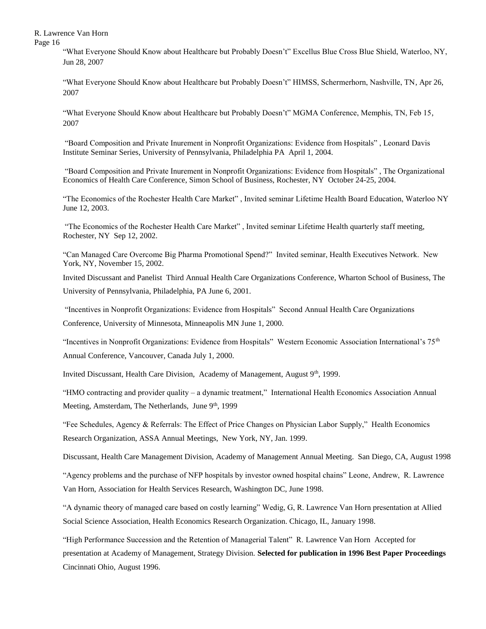Page 16

"What Everyone Should Know about Healthcare but Probably Doesn't" Excellus Blue Cross Blue Shield, Waterloo, NY, Jun 28, 2007

"What Everyone Should Know about Healthcare but Probably Doesn't" HIMSS, Schermerhorn, Nashville, TN, Apr 26, 2007

"What Everyone Should Know about Healthcare but Probably Doesn't" MGMA Conference, Memphis, TN, Feb 15, 2007

"Board Composition and Private Inurement in Nonprofit Organizations: Evidence from Hospitals" , Leonard Davis Institute Seminar Series, University of Pennsylvania, Philadelphia PA April 1, 2004.

"Board Composition and Private Inurement in Nonprofit Organizations: Evidence from Hospitals" , The Organizational Economics of Health Care Conference, Simon School of Business, Rochester, NY October 24-25, 2004.

"The Economics of the Rochester Health Care Market" , Invited seminar Lifetime Health Board Education, Waterloo NY June 12, 2003.

"The Economics of the Rochester Health Care Market" , Invited seminar Lifetime Health quarterly staff meeting, Rochester, NY Sep 12, 2002.

"Can Managed Care Overcome Big Pharma Promotional Spend?" Invited seminar, Health Executives Network. New York, NY, November 15, 2002.

Invited Discussant and Panelist Third Annual Health Care Organizations Conference, Wharton School of Business, The University of Pennsylvania, Philadelphia, PA June 6, 2001.

"Incentives in Nonprofit Organizations: Evidence from Hospitals" Second Annual Health Care Organizations Conference, University of Minnesota, Minneapolis MN June 1, 2000.

"Incentives in Nonprofit Organizations: Evidence from Hospitals" Western Economic Association International's 75th Annual Conference, Vancouver, Canada July 1, 2000.

Invited Discussant, Health Care Division, Academy of Management, August  $9<sup>th</sup>$ , 1999.

"HMO contracting and provider quality – a dynamic treatment," International Health Economics Association Annual Meeting, Amsterdam, The Netherlands, June 9<sup>th</sup>, 1999

"Fee Schedules, Agency & Referrals: The Effect of Price Changes on Physician Labor Supply," Health Economics Research Organization, ASSA Annual Meetings, New York, NY, Jan. 1999.

Discussant, Health Care Management Division, Academy of Management Annual Meeting. San Diego, CA, August 1998

"Agency problems and the purchase of NFP hospitals by investor owned hospital chains" Leone, Andrew, R. Lawrence Van Horn, Association for Health Services Research, Washington DC, June 1998.

"A dynamic theory of managed care based on costly learning" Wedig, G, R. Lawrence Van Horn presentation at Allied Social Science Association, Health Economics Research Organization. Chicago, IL, January 1998.

"High Performance Succession and the Retention of Managerial Talent" R. Lawrence Van Horn Accepted for presentation at Academy of Management, Strategy Division. **Selected for publication in 1996 Best Paper Proceedings** Cincinnati Ohio, August 1996.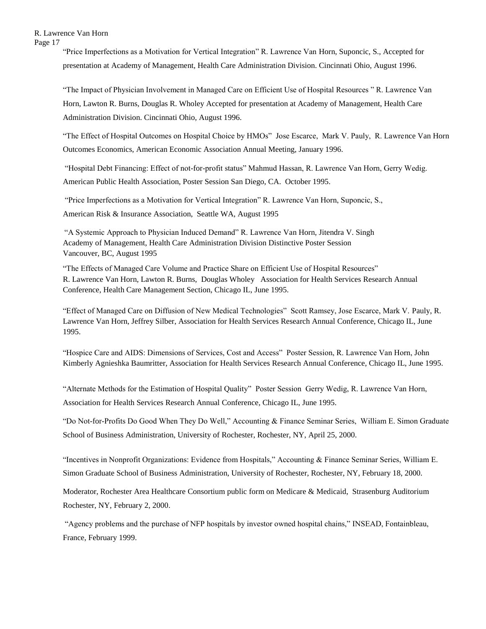"Price Imperfections as a Motivation for Vertical Integration" R. Lawrence Van Horn, Suponcic, S., Accepted for presentation at Academy of Management, Health Care Administration Division. Cincinnati Ohio, August 1996.

"The Impact of Physician Involvement in Managed Care on Efficient Use of Hospital Resources " R. Lawrence Van Horn, Lawton R. Burns, Douglas R. Wholey Accepted for presentation at Academy of Management, Health Care Administration Division. Cincinnati Ohio, August 1996.

"The Effect of Hospital Outcomes on Hospital Choice by HMOs" Jose Escarce, Mark V. Pauly, R. Lawrence Van Horn Outcomes Economics, American Economic Association Annual Meeting, January 1996.

"Hospital Debt Financing: Effect of not-for-profit status" Mahmud Hassan, R. Lawrence Van Horn, Gerry Wedig. American Public Health Association, Poster Session San Diego, CA. October 1995.

"Price Imperfections as a Motivation for Vertical Integration" R. Lawrence Van Horn, Suponcic, S., American Risk & Insurance Association, Seattle WA, August 1995

"A Systemic Approach to Physician Induced Demand" R. Lawrence Van Horn, Jitendra V. Singh Academy of Management, Health Care Administration Division Distinctive Poster Session Vancouver, BC, August 1995

"The Effects of Managed Care Volume and Practice Share on Efficient Use of Hospital Resources" R. Lawrence Van Horn, Lawton R. Burns, Douglas Wholey Association for Health Services Research Annual Conference, Health Care Management Section, Chicago IL, June 1995.

"Effect of Managed Care on Diffusion of New Medical Technologies" Scott Ramsey, Jose Escarce, Mark V. Pauly, R. Lawrence Van Horn, Jeffrey Silber, Association for Health Services Research Annual Conference, Chicago IL, June 1995.

"Hospice Care and AIDS: Dimensions of Services, Cost and Access" Poster Session, R. Lawrence Van Horn, John Kimberly Agnieshka Baumritter, Association for Health Services Research Annual Conference, Chicago IL, June 1995.

"Alternate Methods for the Estimation of Hospital Quality" Poster Session Gerry Wedig, R. Lawrence Van Horn, Association for Health Services Research Annual Conference, Chicago IL, June 1995.

"Do Not-for-Profits Do Good When They Do Well," Accounting & Finance Seminar Series, William E. Simon Graduate School of Business Administration, University of Rochester, Rochester, NY, April 25, 2000.

"Incentives in Nonprofit Organizations: Evidence from Hospitals," Accounting & Finance Seminar Series, William E. Simon Graduate School of Business Administration, University of Rochester, Rochester, NY, February 18, 2000.

Moderator, Rochester Area Healthcare Consortium public form on Medicare & Medicaid, Strasenburg Auditorium Rochester, NY, February 2, 2000.

"Agency problems and the purchase of NFP hospitals by investor owned hospital chains," INSEAD, Fontainbleau, France, February 1999.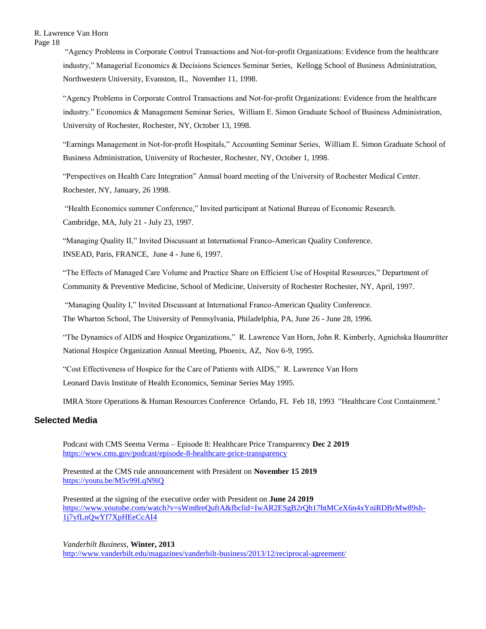"Agency Problems in Corporate Control Transactions and Not-for-profit Organizations: Evidence from the healthcare industry," Managerial Economics & Decisions Sciences Seminar Series, Kellogg School of Business Administration, Northwestern University, Evanston, IL, November 11, 1998.

"Agency Problems in Corporate Control Transactions and Not-for-profit Organizations: Evidence from the healthcare industry." Economics & Management Seminar Series, William E. Simon Graduate School of Business Administration, University of Rochester, Rochester, NY, October 13, 1998.

"Earnings Management in Not-for-profit Hospitals," Accounting Seminar Series, William E. Simon Graduate School of Business Administration, University of Rochester, Rochester, NY, October 1, 1998.

"Perspectives on Health Care Integration" Annual board meeting of the University of Rochester Medical Center. Rochester, NY, January, 26 1998.

"Health Economics summer Conference," Invited participant at National Bureau of Economic Research. Cambridge, MA, July 21 - July 23, 1997.

"Managing Quality II," Invited Discussant at International Franco-American Quality Conference. INSEAD, Paris, FRANCE, June 4 - June 6, 1997.

"The Effects of Managed Care Volume and Practice Share on Efficient Use of Hospital Resources," Department of Community & Preventive Medicine, School of Medicine, University of Rochester Rochester, NY, April, 1997.

"Managing Quality I," Invited Discussant at International Franco-American Quality Conference. The Wharton School, The University of Pennsylvania, Philadelphia, PA, June 26 - June 28, 1996.

"The Dynamics of AIDS and Hospice Organizations," R. Lawrence Van Horn, John R. Kimberly, Agniehska Baumritter National Hospice Organization Annual Meeting, Phoenix, AZ, Nov 6-9, 1995.

"Cost Effectiveness of Hospice for the Care of Patients with AIDS," R. Lawrence Van Horn Leonard Davis Institute of Health Economics, Seminar Series May 1995.

IMRA Store Operations & Human Resources Conference Orlando, FL Feb 18, 1993 "Healthcare Cost Containment."

# **Selected Media**

Podcast with CMS Seema Verma – Episode 8: Healthcare Price Transparency **Dec 2 2019** [https://www.cms.gov/podcast/episode-8-healthcare-price-transparency](https://nam04.safelinks.protection.outlook.com/?url=https%3A%2F%2Fwww.cms.gov%2Fpodcast%2Fepisode-8-healthcare-price-transparency&data=02%7C01%7Cscarlett.gilfus%40vanderbilt.edu%7Cbb79dcb080de45bdb7ef08d77763472c%7Cba5a7f39e3be4ab3b45067fa80faecad%7C0%7C0%7C637109141327913687&sdata=oE5WY1VR4zRAzkL5AXEz%2Fnf3dLgAlxvkjoxwv9nwZJE%3D&reserved=0)

Presented at the CMS rule announcement with President on **November 15 2019** <https://youtu.be/M5v99LqN9iQ>

Presented at the signing of the executive order with President on **June 24 2019** [https://www.youtube.com/watch?v=sWm8reQuftA&fbclid=IwAR2ESgB2rQh17htMCeX6n4xYniRDBrMw89sh-](https://www.youtube.com/watch?v=sWm8reQuftA&fbclid=IwAR2ESgB2rQh17htMCeX6n4xYniRDBrMw89sh-1j7yfLnQwYf7XpHEeCcAI4)[1j7yfLnQwYf7XpHEeCcAI4](https://www.youtube.com/watch?v=sWm8reQuftA&fbclid=IwAR2ESgB2rQh17htMCeX6n4xYniRDBrMw89sh-1j7yfLnQwYf7XpHEeCcAI4)

*Vanderbilt Business*, **Winter, 2013** <http://www.vanderbilt.edu/magazines/vanderbilt-business/2013/12/reciprocal-agreement/>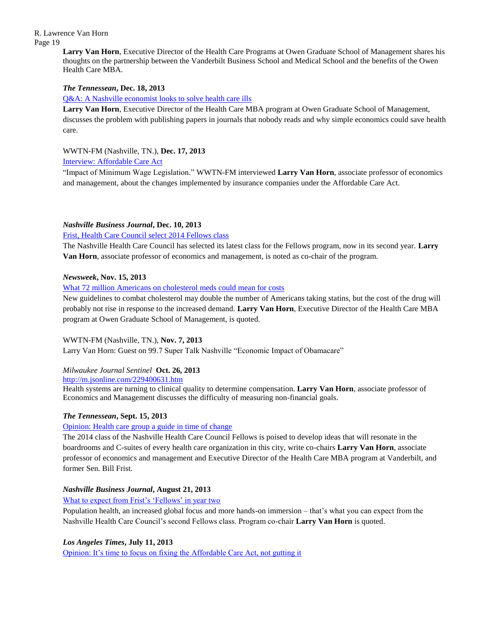> **Larry Van Horn**, Executive Director of the Health Care Programs at Owen Graduate School of Management shares his thoughts on the partnership between the Vanderbilt Business School and Medical School and the benefits of the Owen Health Care MBA.

## *The Tennessean***, Dec. 18, 2013**

[Q&A: A Nashville economist looks to solve health care ills](http://www.tennessean.com/article/20131218/BUSINESS05/312180104/2264/BUSINESS04)

**Larry Van Horn**, Executive Director of the Health Care MBA program at Owen Graduate School of Management, discusses the problem with publishing papers in journals that nobody reads and why simple economics could save health care.

WWTN-FM (Nashville, TN.), **Dec. 17, 2013**

## [Interview: Affordable Care Act](http://67.214.100.182/Player.aspx?ClipId=,A,201312,B141B241-BD40-4891-9603-69AF1F743B2F&ReqServer=NDS7%5CNDS7&QueryName=VU%20News%20&%20Communications&Offset=23&rai=91629de1-4f88-11d7-80a6-00b0d020616e&ran=corpvideo&roi=91629de1-4f88-11d7-80a6-00b0d020616e&ron=corpvideo&run=&rut=0&E=12gfr7vi%287zf2l4fHh4fHWJ7%287zc%282&Time=12gf%2874frW4f%2874frj4f%2874Srj4f%2874fHh&Related=&pbp=Y)

"Impact of Minimum Wage Legislation." WWTN-FM interviewed **Larry Van Horn**, associate professor of economics and management, about the changes implemented by insurance companies under the Affordable Care Act.

## *Nashville Business Journal***, Dec. 10, 2013**

## [Frist, Health Care Council select 2014 Fellows class](http://www.bizjournals.com/nashville/blog/2013/12/frist-health-care-council-select-2014.html)

The Nashville Health Care Council has selected its latest class for the Fellows program, now in its second year. **Larry Van Horn**, associate professor of economics and management, is noted as co-chair of the program.

## *Newsweek***, Nov. 15, 2013**

[What 72 million Americans on cholesterol meds could mean for costs](http://www.newsweek.com/what-72-million-americans-cholesterol-meds-could-mean-costs-3317)

New guidelines to combat cholesterol may double the number of Americans taking statins, but the cost of the drug will probably not rise in response to the increased demand. **Larry Van Horn**, Executive Director of the Health Care MBA program at Owen Graduate School of Management, is quoted.

## WWTN-FM (Nashville, TN.), **Nov. 7, 2013**

Larry Van Horn: Guest on 99.7 Super Talk Nashville "Economic Impact of Obamacare"

## *Milwaukee Journal Sentinel* **Oct. 26, 2013**

<http://m.jsonline.com/229400631.htm>

Health systems are turning to clinical quality to determine compensation. **Larry Van Horn**, associate professor of Economics and Management discusses the difficulty of measuring non-financial goals.

## *The Tennessean***, Sept. 15, 2013**

## [Opinion: Health care group a guide in time of change](http://www.tennessean.com/article/20130915/OPINION03/309150014/Tennessee-Voices-Health-care-group-guide-time-change)

The 2014 class of the Nashville Health Care Council Fellows is poised to develop ideas that will resonate in the boardrooms and C-suites of every health care organization in this city, write co-chairs **Larry Van Horn**, associate professor of economics and management and Executive Director of the Health Care MBA program at Vanderbilt, and former Sen. Bill Frist.

# *Nashville Business Journal***, August 21, 2013**

[What to expect from Frist's 'Fellows' in year two](http://www.bizjournals.com/nashville/blog/2013/08/what-to-expect-from-frists-fellows.html)

Population health, an increased global focus and more hands-on immersion – that's what you can expect from the Nashville Health Care Council's second Fellows class. Program co-chair **Larry Van Horn** is quoted.

## *Los Angeles Times***, July 11, 2013**

[Opinion: It's time to focus on fixing the Affordable Care Act, not gutting it](http://articles.latimes.com/2013/jul/11/business/la-fi-lazarus-20130712)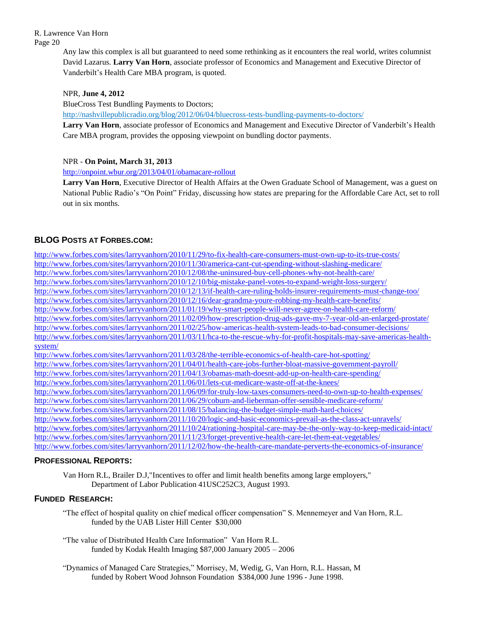> Any law this complex is all but guaranteed to need some rethinking as it encounters the real world, writes columnist David Lazarus. **Larry Van Horn**, associate professor of Economics and Management and Executive Director of Vanderbilt's Health Care MBA program, is quoted.

## NPR, **June 4, 2012**

BlueCross Test Bundling Payments to Doctors;

<http://nashvillepublicradio.org/blog/2012/06/04/bluecross-tests-bundling-payments-to-doctors/>

**Larry Van Horn**, associate professor of Economics and Management and Executive Director of Vanderbilt's Health Care MBA program, provides the opposing viewpoint on bundling doctor payments.

## NPR - **On Point, March 31, 2013**

<http://onpoint.wbur.org/2013/04/01/obamacare-rollout>

**Larry Van Horn**, Executive Director of Health Affairs at the Owen Graduate School of Management, was a guest on National Public Radio's "On Point" Friday, discussing how states are preparing for the Affordable Care Act, set to roll out in six months.

# **BLOG POSTS AT FORBES.COM:**

<http://www.forbes.com/sites/larryvanhorn/2010/11/29/to-fix-health-care-consumers-must-own-up-to-its-true-costs/> <http://www.forbes.com/sites/larryvanhorn/2010/11/30/america-cant-cut-spending-without-slashing-medicare/> <http://www.forbes.com/sites/larryvanhorn/2010/12/08/the-uninsured-buy-cell-phones-why-not-health-care/> <http://www.forbes.com/sites/larryvanhorn/2010/12/10/big-mistake-panel-votes-to-expand-weight-loss-surgery/> <http://www.forbes.com/sites/larryvanhorn/2010/12/13/if-health-care-ruling-holds-insurer-requirements-must-change-too/> <http://www.forbes.com/sites/larryvanhorn/2010/12/16/dear-grandma-youre-robbing-my-health-care-benefits/> <http://www.forbes.com/sites/larryvanhorn/2011/01/19/why-smart-people-will-never-agree-on-health-care-reform/> <http://www.forbes.com/sites/larryvanhorn/2011/02/09/how-prescription-drug-ads-gave-my-7-year-old-an-enlarged-prostate/> <http://www.forbes.com/sites/larryvanhorn/2011/02/25/how-americas-health-system-leads-to-bad-consumer-decisions/> [http://www.forbes.com/sites/larryvanhorn/2011/03/11/hca-to-the-rescue-why-for-profit-hospitals-may-save-americas-health](http://www.forbes.com/sites/larryvanhorn/2011/03/11/hca-to-the-rescue-why-for-profit-hospitals-may-save-americas-health-system/)[system/](http://www.forbes.com/sites/larryvanhorn/2011/03/11/hca-to-the-rescue-why-for-profit-hospitals-may-save-americas-health-system/) <http://www.forbes.com/sites/larryvanhorn/2011/03/28/the-terrible-economics-of-health-care-hot-spotting/> <http://www.forbes.com/sites/larryvanhorn/2011/04/01/health-care-jobs-further-bloat-massive-government-payroll/> <http://www.forbes.com/sites/larryvanhorn/2011/04/13/obamas-math-doesnt-add-up-on-health-care-spending/> <http://www.forbes.com/sites/larryvanhorn/2011/06/01/lets-cut-medicare-waste-off-at-the-knees/> <http://www.forbes.com/sites/larryvanhorn/2011/06/09/for-truly-low-taxes-consumers-need-to-own-up-to-health-expenses/> <http://www.forbes.com/sites/larryvanhorn/2011/06/29/coburn-and-lieberman-offer-sensible-medicare-reform/> <http://www.forbes.com/sites/larryvanhorn/2011/08/15/balancing-the-budget-simple-math-hard-choices/> <http://www.forbes.com/sites/larryvanhorn/2011/10/20/logic-and-basic-economics-prevail-as-the-class-act-unravels/> <http://www.forbes.com/sites/larryvanhorn/2011/10/24/rationing-hospital-care-may-be-the-only-way-to-keep-medicaid-intact/> <http://www.forbes.com/sites/larryvanhorn/2011/11/23/forget-preventive-health-care-let-them-eat-vegetables/> <http://www.forbes.com/sites/larryvanhorn/2011/12/02/how-the-health-care-mandate-perverts-the-economics-of-insurance/>

# **PROFESSIONAL REPORTS:**

Van Horn R.L, Brailer D.J,"Incentives to offer and limit health benefits among large employers," Department of Labor Publication 41USC252C3, August 1993.

# **FUNDED RESEARCH:**

"The effect of hospital quality on chief medical officer compensation" S. Mennemeyer and Van Horn, R.L. funded by the UAB Lister Hill Center \$30,000

"The value of Distributed Health Care Information" Van Horn R.L. funded by Kodak Health Imaging \$87,000 January 2005 – 2006

"Dynamics of Managed Care Strategies," Morrisey, M, Wedig, G, Van Horn, R.L. Hassan, M funded by Robert Wood Johnson Foundation \$384,000 June 1996 - June 1998.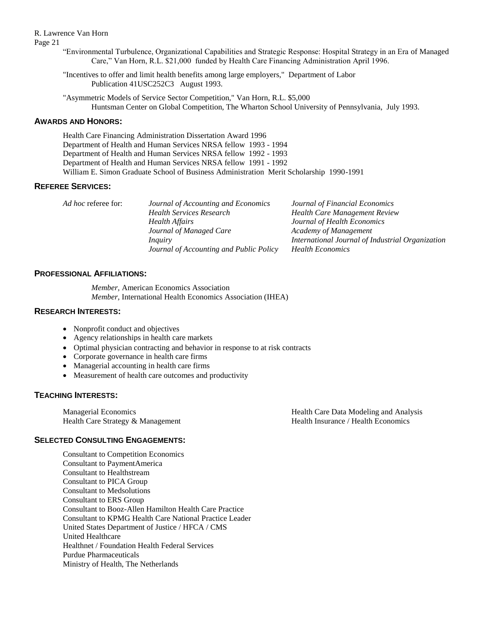Page 21

- "Environmental Turbulence, Organizational Capabilities and Strategic Response: Hospital Strategy in an Era of Managed Care," Van Horn, R.L. \$21,000 funded by Health Care Financing Administration April 1996.
- "Incentives to offer and limit health benefits among large employers," Department of Labor Publication 41USC252C3 August 1993.
- "Asymmetric Models of Service Sector Competition," Van Horn, R.L. \$5,000 Huntsman Center on Global Competition, The Wharton School University of Pennsylvania, July 1993.

## **AWARDS AND HONORS:**

Health Care Financing Administration Dissertation Award 1996 Department of Health and Human Services NRSA fellow 1993 - 1994 Department of Health and Human Services NRSA fellow 1992 - 1993 Department of Health and Human Services NRSA fellow 1991 - 1992 William E. Simon Graduate School of Business Administration Merit Scholarship 1990-1991

## **REFEREE SERVICES:**

| <i>Ad hoc</i> referee for: | Journal of Accounting and Economics     | Journal of Financial Economics                   |
|----------------------------|-----------------------------------------|--------------------------------------------------|
|                            | <b>Health Services Research</b>         | <b>Health Care Management Review</b>             |
|                            | <b>Health Affairs</b>                   | Journal of Health Economics                      |
|                            | Journal of Managed Care                 | Academy of Management                            |
|                            | <i>Inquiry</i>                          | International Journal of Industrial Organization |
|                            | Journal of Accounting and Public Policy | <b>Health Economics</b>                          |

# **PROFESSIONAL AFFILIATIONS:**

*Member,* American Economics Association *Member,* International Health Economics Association (IHEA)

## **RESEARCH INTERESTS:**

- Nonprofit conduct and objectives
- Agency relationships in health care markets
- Optimal physician contracting and behavior in response to at risk contracts
- Corporate governance in health care firms
- Managerial accounting in health care firms
- Measurement of health care outcomes and productivity

# **TEACHING INTERESTS:**

| <b>Managerial Economics</b>       | Health Care Data Modeling and Analysis |
|-----------------------------------|----------------------------------------|
| Health Care Strategy & Management | Health Insurance / Health Economics    |

## **SELECTED CONSULTING ENGAGEMENTS:**

Consultant to Competition Economics Consultant to PaymentAmerica Consultant to Healthstream Consultant to PICA Group Consultant to Medsolutions Consultant to ERS Group Consultant to Booz-Allen Hamilton Health Care Practice Consultant to KPMG Health Care National Practice Leader United States Department of Justice / HFCA / CMS United Healthcare Healthnet / Foundation Health Federal Services Purdue Pharmaceuticals Ministry of Health, The Netherlands